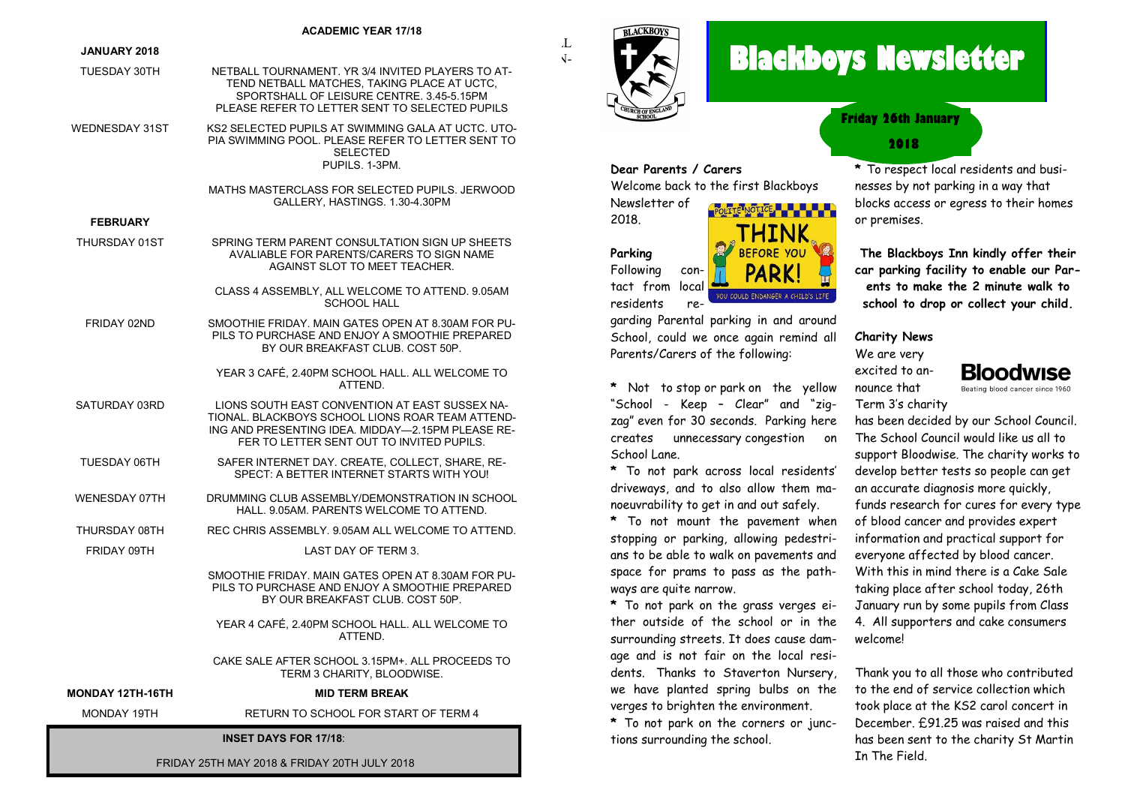#### **ACADEMIC YEAR 17/18**

#### **JANUARY 2018**  $\rm L$

- TUESDAY 30TH NETBALL TOURNAMENT. YR 3/4 INVITED PLAYERS TO AT-SURE YOU ARE AT SCHOOL IN TIME TO PURCHASE AND CONSUME BEFORE THE CHILDREN TEND NETBALL MATCHES, TAKING PLACE AT UCTC, SPORTSHALL OF LEISURE CENTRE. 3.45-5.15PM PLEASE REFER TO LETTER SENT TO SELECTED PUPILS  $\sqrt{2}$ .
- WEDNESDAY 31ST KS2 SELECTED PUPILS AT SWIMMING GALA AT UCTC. UTO-PIA SWIMMING POOL. PLEASE REFER TO LETTER SENT TO SELECTED PUPILS. 1-3PM.  $\frac{1}{2}$  raised on  $\frac{1}{2}$  ratio  $\frac{1}{2}$  PIA SV

MATHS MASTERCLASS FOR SELECTED PUPILS. JERWOOD GALLERY, HASTINGS. 1.30-4.30PM

#### **FEBRUARY**

- THURSDAY 01ST SPRING TERM PARENT CONSULTATION SIGN UP SHEETS AVALIABLE FOR PARENTS/CARERS TO SIGN NAME AGAINST SLOT TO MEET TEACHER. CLASS 4 ASSEMBLY, ALL WELCOME TO ATTEND. 9.05AM
	- SCHOOL HALL
- FRIDAY 02ND SMOOTHIE FRIDAY. MAIN GATES OPEN AT 8.30AM FOR PU-PILS TO PURCHASE AND ENJOY A SMOOTHIE PREPARED BY OUR BREAKFAST CLUB. COST 50P.
	- YEAR 3 CAFÉ, 2.40PM SCHOOL HALL. ALL WELCOME TO ATTEND.
- SATURDAY 03RD LIONS SOUTH EAST CONVENTION AT EAST SUSSEX NA-TIONAL. BLACKBOYS SCHOOL LIONS ROAR TEAM ATTEND-ING AND PRESENTING IDEA. MIDDAY—2.15PM PLEASE RE-FER TO LETTER SENT OUT TO INVITED PUPILS.
- TUESDAY 06TH SAFER INTERNET DAY. CREATE, COLLECT, SHARE, RE-SPECT: A BETTER INTERNET STARTS WITH YOU!
- WENESDAY 07TH DRUMMING CLUB ASSEMBLY/DEMONSTRATION IN SCHOOL HALL. 9.05AM. PARENTS WELCOME TO ATTEND.
- THURSDAY 08TH REC CHRIS ASSEMBLY. 9.05AM ALL WELCOME TO ATTEND.
- FRIDAY 09TH LAST DAY OF TERM 3.

SMOOTHIE FRIDAY. MAIN GATES OPEN AT 8.30AM FOR PU-PILS TO PURCHASE AND ENJOY A SMOOTHIE PREPARED BY OUR BREAKFAST CLUB. COST 50P.

YEAR 4 CAFÉ, 2.40PM SCHOOL HALL. ALL WELCOME TO ATTEND.

CAKE SALE AFTER SCHOOL 3.15PM+. ALL PROCEEDS TO TERM 3 CHARITY, BLOODWISE.

#### **MONDAY 12TH-16TH MID TERM BREAK**

MONDAY 19TH RETURN TO SCHOOL FOR START OF TERM 4

#### **INSET DAYS FOR 17/18**:

FRIDAY 25TH MAY 2018 & FRIDAY 20TH JULY 2018



# **Blackboys Newsletter**



**POLITE NOTICE - - - - - - -**

# **2018 Friday 26th January**

**\*** To respect local residents and businesses by not parking in a way that blocks access or egress to their homes or premises.

**The Blackboys Inn kindly offer their car parking facility to enable our Parents to make the 2 minute walk to school to drop or collect your child.** 

# **Charity News**

We are very excited to announce that Term 3's charity

**Bloodwise** Beating blood cancer since 1960

has been decided by our School Council. The School Council would like us all to support Bloodwise. The charity works to develop better tests so people can get an accurate diagnosis more quickly, funds research for cures for every type of blood cancer and provides expert information and practical support for everyone affected by blood cancer. With this in mind there is a Cake Sale taking place after school today, 26th January run by some pupils from Class 4. All supporters and cake consumers welcome!

Thank you to all those who contributed to the end of service collection which took place at the KS2 carol concert in December. £91.25 was raised and this has been sent to the charity St Martin In The Field.

**Parking** Following contact from local residents re-

Newsletter of

2018.

garding Parental parking in and around School, could we once again remind all Parents/Carers of the following:

Welcome back to the first Blackboys

**\*** Not to stop or park on the yellow "School - Keep – Clear" and "zigzag" even for 30 seconds. Parking here creates unnecessary congestion on School Lane.

**\*** To not park across local residents' driveways, and to also allow them manoeuvrability to get in and out safely.

**\*** To not mount the pavement when stopping or parking, allowing pedestrians to be able to walk on pavements and space for prams to pass as the pathways are quite narrow.

**\*** To not park on the grass verges either outside of the school or in the surrounding streets. It does cause damage and is not fair on the local residents. Thanks to Staverton Nursery, we have planted spring bulbs on the verges to brighten the environment.

**\*** To not park on the corners or junctions surrounding the school.

YOU COULD ENDANGER A CHILD'S LIFE

**Dear Parents / Carers**